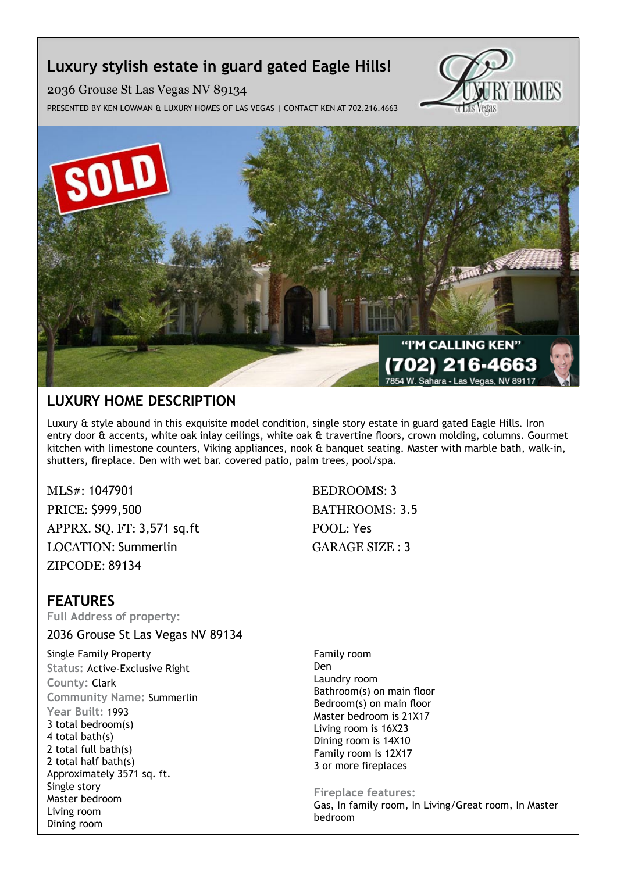# **Luxury stylish estate in guard gated Eagle Hills!**

2036 Grouse St Las Vegas NV 89134

Presented by Ken Lowman & Luxury Homes of Las Vegas | Contact Ken at 702.216.4663





# **Luxury Home description**

Luxury & style abound in this exquisite model condition, single story estate in guard gated Eagle Hills. Iron entry door & accents, white oak inlay ceilings, white oak & travertine floors, crown molding, columns. Gourmet kitchen with limestone counters, Viking appliances, nook & banquet seating. Master with marble bath, walk-in, shutters, fireplace. Den with wet bar. covered patio, palm trees, pool/spa.

MLS#: 1047901 BEDROOMS: 3 PRICE: \$999,500 BATHROOMS: 3.5 APPRX. SO. FT: 3,571 sq.ft POOL: Yes LOCATION: Summerlin GARAGE SIZE : 3 ZIPCODE: 89134

# **features**

**Full Address of property:**

2036 Grouse St Las Vegas NV 89134

Single Family Property **Status:** Active-Exclusive Right **County:** Clark **Community Name:** Summerlin **Year Built:** 1993 3 total bedroom(s) 4 total bath(s) 2 total full bath(s) 2 total half bath(s) Approximately 3571 sq. ft. Single story Master bedroom Living room Dining room

Family room Den Laundry room Bathroom(s) on main floor Bedroom(s) on main floor Master bedroom is 21X17 Living room is 16X23 Dining room is 14X10 Family room is 12X17 3 or more fireplaces

## **Fireplace features:**

Gas, In family room, In Living/Great room, In Master bedroom